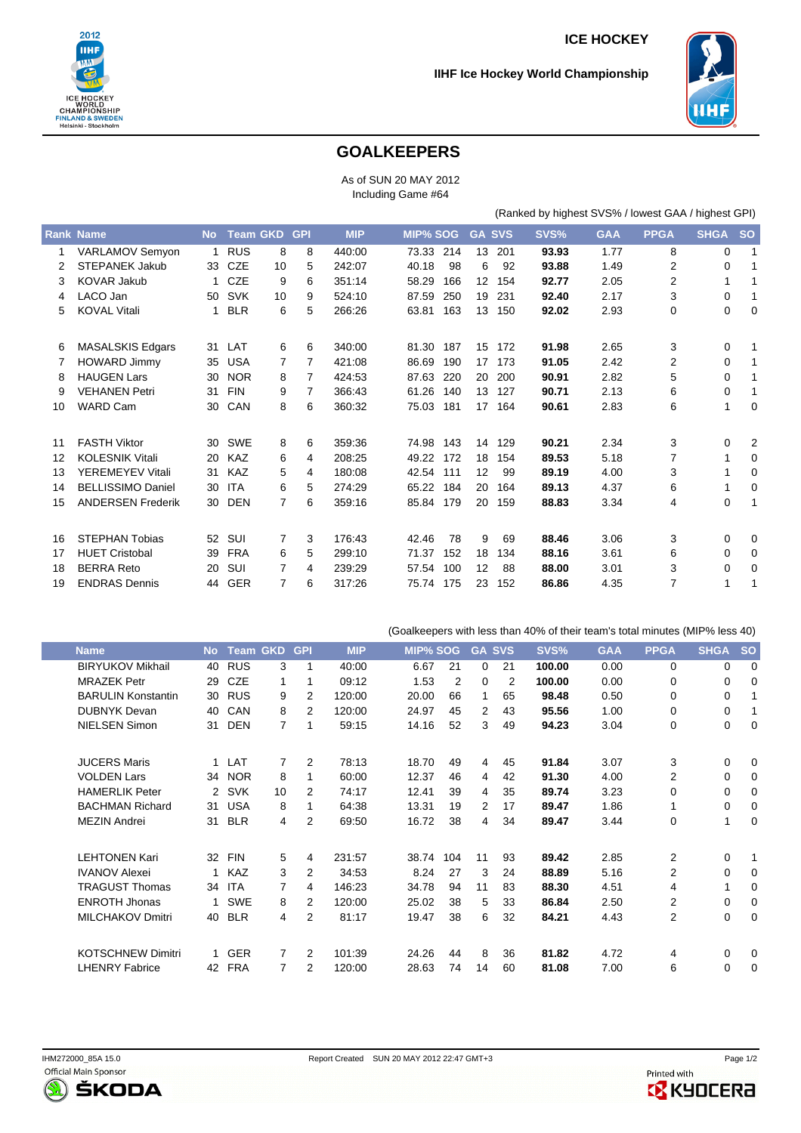

## **ICE HOCKEY**

## **IIHF Ice Hockey World Championship**



## **GOALKEEPERS**

As of SUN 20 MAY 2012 Including Game #64

(Ranked by highest SVS% / lowest GAA / highest GPI)

(Goalkeepers with less than 40% of their team's total minutes (MIP% less 40)

|    | <b>Rank Name</b>         | <b>No</b> |            | <b>Team GKD</b> | <b>GPI</b> | <b>MIP</b> | <b>MIP% SOG</b> |    | <b>GA SVS</b> | SVS%  | <b>GAA</b> | <b>PPGA</b> | <b>SHGA</b> | <b>SO</b>      |
|----|--------------------------|-----------|------------|-----------------|------------|------------|-----------------|----|---------------|-------|------------|-------------|-------------|----------------|
| 1  | VARLAMOV Semyon          | 1         | <b>RUS</b> | 8               | 8          | 440:00     | 73.33<br>214    | 13 | 201           | 93.93 | 1.77       | 8           | 0           | 1              |
| 2  | <b>STEPANEK Jakub</b>    | 33        | <b>CZE</b> | 10              | 5          | 242:07     | 98<br>40.18     | 6  | 92            | 93.88 | 1.49       | 2           | 0           | 1              |
| 3  | <b>KOVAR Jakub</b>       |           | <b>CZE</b> | 9               | 6          | 351:14     | 58.29<br>166    | 12 | 154           | 92.77 | 2.05       | 2           | 1           | 1              |
| 4  | LACO Jan                 | 50        | <b>SVK</b> | 10              | 9          | 524:10     | 250<br>87.59    | 19 | 231           | 92.40 | 2.17       | 3           | 0           | 1              |
| 5  | <b>KOVAL Vitali</b>      |           | <b>BLR</b> | 6               | 5          | 266:26     | 63.81<br>163    | 13 | 150           | 92.02 | 2.93       | 0           | 0           | 0              |
| 6  | <b>MASALSKIS Edgars</b>  | 31        | LAT        | 6               | 6          | 340:00     | 187<br>81.30    | 15 | 172           | 91.98 | 2.65       | 3           | 0           | 1              |
| 7  | <b>HOWARD Jimmy</b>      | 35        | <b>USA</b> | 7               | 7          | 421:08     | 190<br>86.69    | 17 | 173           | 91.05 | 2.42       | 2           | 0           | 1              |
| 8  | <b>HAUGEN Lars</b>       | 30        | <b>NOR</b> | 8               | 7          | 424:53     | 220<br>87.63    | 20 | 200           | 90.91 | 2.82       | 5           | 0           | 1              |
| 9  | <b>VEHANEN Petri</b>     | 31        | <b>FIN</b> | 9               | 7          | 366:43     | 61.26<br>140    | 13 | 127           | 90.71 | 2.13       | 6           | 0           | 1              |
| 10 | <b>WARD Cam</b>          | 30        | CAN        | 8               | 6          | 360:32     | 75.03<br>181    | 17 | 164           | 90.61 | 2.83       | 6           | 1           | $\mathbf 0$    |
| 11 | <b>FASTH Viktor</b>      | 30        | <b>SWE</b> | 8               | 6          | 359:36     | 74.98<br>143    | 14 | 129           | 90.21 | 2.34       | 3           | 0           | $\overline{2}$ |
| 12 | <b>KOLESNIK Vitali</b>   | 20        | <b>KAZ</b> | 6               | 4          | 208:25     | 172<br>49.22    | 18 | 154           | 89.53 | 5.18       | 7           | 1           | 0              |
| 13 | YEREMEYEV Vitali         | 31        | KAZ        | 5               | 4          | 180:08     | 42.54<br>111    | 12 | 99            | 89.19 | 4.00       | 3           | 1           | 0              |
| 14 | <b>BELLISSIMO Daniel</b> | 30        | <b>ITA</b> | 6               | 5          | 274:29     | 65.22<br>184    | 20 | 164           | 89.13 | 4.37       | 6           | 1           | $\mathbf 0$    |
| 15 | <b>ANDERSEN Frederik</b> | 30        | <b>DEN</b> | 7               | 6          | 359:16     | 179<br>85.84    | 20 | 159           | 88.83 | 3.34       | 4           | 0           | 1              |
| 16 | <b>STEPHAN Tobias</b>    | 52        | SUI        | $\overline{7}$  | 3          | 176:43     | 78<br>42.46     | 9  | 69            | 88.46 | 3.06       | 3           | 0           | 0              |
| 17 | <b>HUET Cristobal</b>    | 39        | <b>FRA</b> | 6               | 5          | 299:10     | 152<br>71.37    | 18 | 134           | 88.16 | 3.61       | 6           | 0           | 0              |
| 18 | <b>BERRA Reto</b>        | 20        | SUI        | 7               | 4          | 239:29     | 100<br>57.54    | 12 | 88            | 88.00 | 3.01       | 3           | 0           | 0              |
| 19 | <b>ENDRAS Dennis</b>     | 44        | <b>GER</b> | 7               | 6          | 317:26     | 175<br>75.74    | 23 | 152           | 86.86 | 4.35       | 7           |             | 1              |

| <b>Name</b>               | <b>No</b>    | <b>Team GKD</b> |                | <b>GPI</b> | <b>MIP</b> | <b>MIP% SOG</b> |     | <b>GA</b> | <b>SVS</b> | SVS%   | <b>GAA</b> | <b>PPGA</b>    | <b>SHGA</b> | <b>SO</b>   |
|---------------------------|--------------|-----------------|----------------|------------|------------|-----------------|-----|-----------|------------|--------|------------|----------------|-------------|-------------|
| <b>BIRYUKOV Mikhail</b>   | 40           | <b>RUS</b>      | 3              | 1          | 40:00      | 6.67            | 21  | 0         | 21         | 100.00 | 0.00       | $\Omega$       | 0           | $\Omega$    |
| <b>MRAZEK Petr</b>        | 29           | <b>CZE</b>      | 1              | 1          | 09:12      | 1.53            | 2   | 0         | 2          | 100.00 | 0.00       | 0              | 0           | 0           |
| <b>BARULIN Konstantin</b> | 30           | <b>RUS</b>      | 9              | 2          | 120:00     | 20.00           | 66  | 1         | 65         | 98.48  | 0.50       | $\mathbf 0$    | 0           | 1           |
| <b>DUBNYK Devan</b>       | 40           | <b>CAN</b>      | 8              | 2          | 120:00     | 24.97           | 45  | 2         | 43         | 95.56  | 1.00       | 0              | 0           | 1           |
| <b>NIELSEN Simon</b>      | 31           | <b>DEN</b>      | $\overline{7}$ | 1          | 59:15      | 14.16           | 52  | 3         | 49         | 94.23  | 3.04       | $\mathbf 0$    | 0           | $\mathbf 0$ |
|                           |              |                 |                |            |            |                 |     |           |            |        |            |                |             |             |
| <b>JUCERS Maris</b>       | 1            | LAT             | 7              | 2          | 78:13      | 18.70           | 49  | 4         | 45         | 91.84  | 3.07       | 3              | 0           | $\Omega$    |
| <b>VOLDEN Lars</b>        | 34           | <b>NOR</b>      | 8              | 1          | 60:00      | 12.37           | 46  | 4         | 42         | 91.30  | 4.00       | $\overline{2}$ | 0           | 0           |
| <b>HAMERLIK Peter</b>     | $\mathbf{2}$ | <b>SVK</b>      | 10             | 2          | 74:17      | 12.41           | 39  | 4         | 35         | 89.74  | 3.23       | $\Omega$       | 0           | 0           |
| <b>BACHMAN Richard</b>    | 31           | <b>USA</b>      | 8              | 1          | 64:38      | 13.31           | 19  | 2         | 17         | 89.47  | 1.86       |                | 0           | 0           |
| <b>MEZIN Andrei</b>       | 31           | <b>BLR</b>      | 4              | 2          | 69:50      | 16.72           | 38  | 4         | 34         | 89.47  | 3.44       | 0              | 1           | 0           |
|                           |              |                 |                |            |            |                 |     |           |            |        |            |                |             |             |
| <b>LEHTONEN Kari</b>      | 32           | <b>FIN</b>      | 5              | 4          | 231:57     | 38.74           | 104 | 11        | 93         | 89.42  | 2.85       | $\overline{2}$ | 0           | 1           |
| <b>IVANOV Alexei</b>      |              | KAZ             | 3              | 2          | 34:53      | 8.24            | 27  | 3         | 24         | 88.89  | 5.16       | $\overline{2}$ | 0           | 0           |
| <b>TRAGUST Thomas</b>     | 34           | <b>ITA</b>      | $\overline{7}$ | 4          | 146:23     | 34.78           | 94  | 11        | 83         | 88.30  | 4.51       | 4              | 1           | 0           |
| <b>ENROTH Jhonas</b>      |              | <b>SWE</b>      | 8              | 2          | 120:00     | 25.02           | 38  | 5         | 33         | 86.84  | 2.50       | $\overline{2}$ | 0           | 0           |
| <b>MILCHAKOV Dmitri</b>   | 40           | <b>BLR</b>      | 4              | 2          | 81:17      | 19.47           | 38  | 6         | 32         | 84.21  | 4.43       | 2              | 0           | 0           |
|                           |              |                 |                |            |            |                 |     |           |            |        |            |                |             |             |
| <b>KOTSCHNEW Dimitri</b>  |              | <b>GER</b>      | 7              | 2          | 101:39     | 24.26           | 44  | 8         | 36         | 81.82  | 4.72       | 4              | 0           | $\mathbf 0$ |
| <b>LHENRY Fabrice</b>     | 42           | <b>FRA</b>      | 7              | 2          | 120:00     | 28.63           | 74  | 14        | 60         | 81.08  | 7.00       | 6              | 0           | 0           |
|                           |              |                 |                |            |            |                 |     |           |            |        |            |                |             |             |